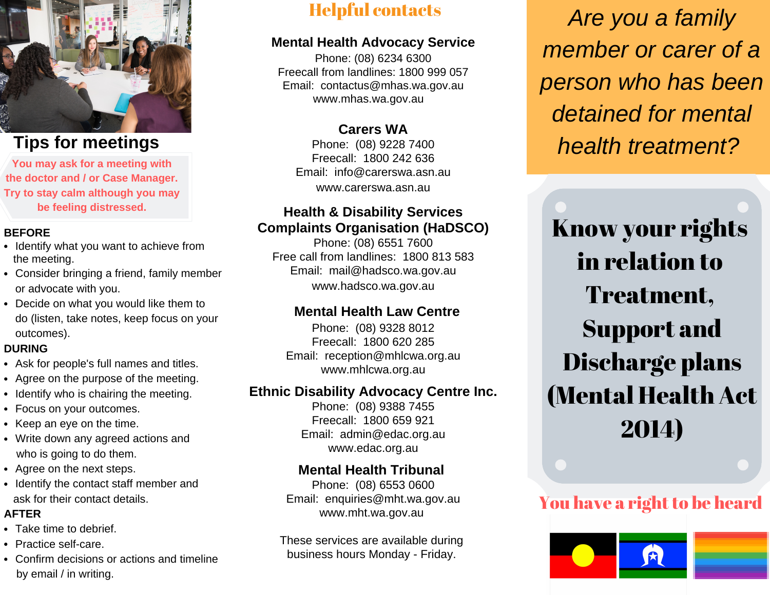

# **Tips for meetings**

**You may ask for a meeting with the doctor and / or Case Manager. Try to stay calm although you may be feeling distressed.**

#### **BEFORE**

- Identify what you want to achieve from the meeting.
- Consider bringing a friend, family member or advocate with you.
- Decide on what you would like them to do (listen, take notes, keep focus on your outcomes).

### **DURING**

- Ask for people's full names and titles.
- Agree on the purpose of the meeting.
- Identify who is chairing the meeting.
- Focus on your outcomes.
- $\bullet$  Keep an eye on the time.
- Write down any agreed actions and who is going to do them.
- Agree on the next steps.
- Identify the contact staff member and ask for their contact details.

### **AFTER**

- Take time to debrief.
- Practice self-care.
- Confirm decisions or actions and timeline by email / in writing.

# Helpful contacts

## **Mental Health Advocacy Service**

Phone: (08) 6234 6300 Freecall from landlines: 1800 999 057 Email: contactus@mhas.wa.gov.au www.mhas.wa.gov.au

# **Carers WA**

Phone: (08) 9228 7400 Freecall: 1800 242 636 Email: info@carerswa.asn.au www.carerswa.asn.au

## **Health & Disability Services Complaints Organisation (HaDSCO)**

Phone: (08) 6551 7600 Free call from landlines: 1800 813 583 Email: mail@hadsco.wa.gov.au www.hadsco.wa.gov.au

# **Mental Health Law Centre**

Phone: (08) 9328 8012 Freecall: 1800 620 285 Email: reception@mhlcwa.org.au www.mhlcwa.org.au

# **Ethnic Disability Advocacy Centre Inc.**

Phone: (08) 9388 7455 Freecall: 1800 659 921 Email: admin@edac.org.au www.edac.org.au

# **Mental Health Tribunal**

Phone: (08) 6553 0600 Email: enquiries@mht.wa.gov.au www.mht.wa.gov.au

These services are available during business hours Monday - Friday.

*Are you a family member or carer of a person who has been detained for mental health treatment?*

Know your rights in relation to Treatment, Support and Discharge plans (Mental Health Act 2014)

# You have a right to be heard